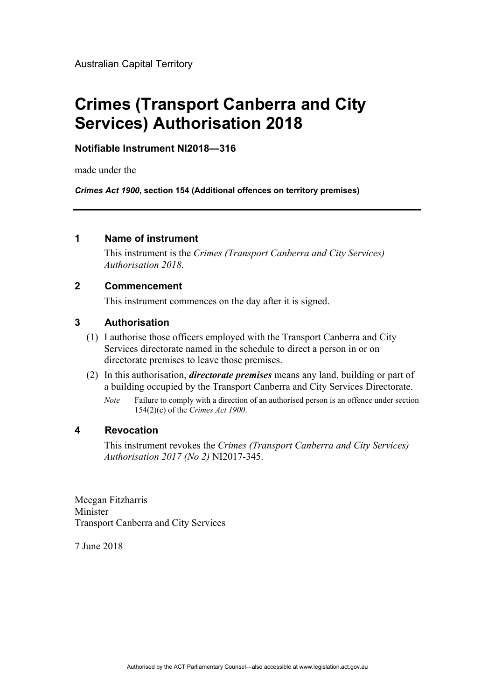# **Crimes (Transport Canberra and City Services) Authorisation 2018**

## **Notifiable Instrument NI2018—316**

made under the

*Crimes Act 1900***, section 154 (Additional offences on territory premises)** 

#### **1 Name of instrument**

This instrument is the *Crimes (Transport Canberra and City Services) Authorisation 2018*.

### **2 Commencement**

This instrument commences on the day after it is signed.

#### **3 Authorisation**

- (1) I authorise those officers employed with the Transport Canberra and City Services directorate named in the schedule to direct a person in or on directorate premises to leave those premises.
- (2) In this authorisation, *directorate premises* means any land, building or part of a building occupied by the Transport Canberra and City Services Directorate.
	- *Note* Failure to comply with a direction of an authorised person is an offence under section 154(2)(c) of the *Crimes Act 1900*.

#### **4 Revocation**

This instrument revokes the *Crimes (Transport Canberra and City Services) Authorisation 2017 (No 2)* NI2017-345.

Meegan Fitzharris Minister Transport Canberra and City Services

7 June 2018